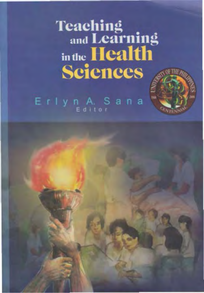Teaching<br>
and Learning<br>
in the **Health**<br> **Sciences** 

Erlyn A. Sana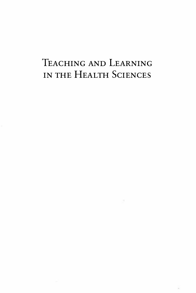## TEACHING AND LEARNING IN THE HEALTH SCIENCES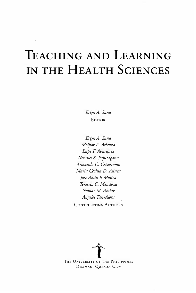# TEACHING AND LEARNING IN THE HEALTH SciENCES

Erlyn A. Sana EDITOR

Erlyn A. Sana Melflor A. Atienza Lupe F. Abarquez Nemuel S. Fajutagana Armando C. Crisostomo Maria Cecilia D. Alinea Jose Alvin P. Mojica Teresita C. Mendoza Nomar M. Alviar Angeles Tan-Alora CoNTRIBUTING AuTHORS

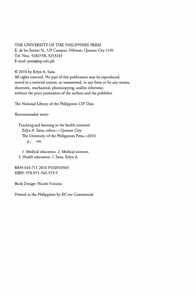THE UNIVERSITY OF THE PHILIPPINES PRESS E. de los Santos St., UP Campus, Diliman, Quezon City 1101 Tel. Nos.: 9282558, 9253243 E-mail: press@up.edu.ph

© 2010 by Erlyn A. Sana All rights reserved. No part of this publication may be reproduced, stored in a retrieval system, or transmitted, in any form or by any means, electronic, mechanical, photocopying, and/or otherwise, without the prior permission of the authors and the publisher.

The National Library of the Philippines CIP Data

Recommended entry:

Teaching and learning in the health sciences/ Erlyn A. Sana, editor.-- Quezon City: The University of the Philippines Press, c2010. p.; em.

1. Medical education. 2. Medical sciences. 3. Health education. I. Sana, Erlyn A.

R834 610.711 2010 P102010503 ISBN: 978-971-542-573-5

Book Design: Nicole Victoria

Printed in the Philippines by EC-tec Commercial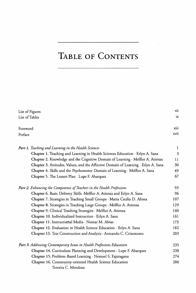## TABLE oF CoNTENTS

| List of Figures                                                                    | vii            |
|------------------------------------------------------------------------------------|----------------|
| List of Tables                                                                     | ix             |
|                                                                                    |                |
| Foreword                                                                           | xiii           |
| Preface                                                                            | xvii           |
|                                                                                    |                |
| Part 1. Teaching and Learning in the Health Sciences                               | $\mathbf{1}$   |
| Chapter 1. Teaching and Learning in Health Sciences Education · Erlyn A. Sana      | $\mathfrak{Z}$ |
| Chapter 2. Knowledge and the Cognitive Domain of Learning · Melflor A. Atienza     | 11             |
| Chapter 3. Attitudes, Values, and the Affective Domain of Learning · Erlyn A. Sana | 30             |
| Chapter 4. Skills and the Psychomotor Domain of Learning · Melflor A. Sana         | 49             |
| Chapter 5. The Lesson Plan Lupe F. Abarquez                                        | 67             |
| Part 2. Enhancing the Competence of Teachers in the Health Professions             | 93             |
| Chapter 6. Basic Delivery Skills .Melflor A. Atienza and Erlyn A. Sana             | 96             |
| Chapter 7. Strategies in Teaching Small Groups · Maria Cecilia D. Alinea           | 107            |
| Chapter 8. Strategies in Teaching Large Groups · Melflor A. Atienza                | 129            |
| Chapter 9. Clinical Teaching Strategies · Melflor A. Atienza                       | 140            |
| Chapter 10. Individualized Instruction · Erlyn A. Sana                             | 161            |
| Chapter 11. Instructional Media · Nomar M. Alviar                                  | 173            |
| Chapter 12. Evaluation in Health Science Education · Erlyn A. Sana                 | 182            |
| Chapter 13. Test Construction and Analysis · Armando C. Crisostomo                 | 203            |
| Part 3. Addressing Contemporary Issues in Health Professions Education             | 235            |
| Chapter 14. Curriculum Planning and Development · Lupe F. Abarquez                 | 238            |
| Chapter 15. Problem-Based Learning · Nemuel S. Fajutagana                          | 274            |
| Chapter 16. Community-oriented Health Science Education                            | 286            |
| Teresita C. Mendoza                                                                |                |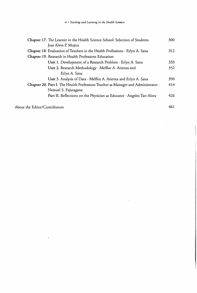| Chapter 17. The Learner in the Health Science School: Selection of Students       | 300 |
|-----------------------------------------------------------------------------------|-----|
| Jose Alvin P. Mojica                                                              |     |
| Chapter 18. Evaluation of Teachers in the Health Professions · Erlyn A. Sana      | 312 |
| Chapter 19. Research in Health Professions Education                              |     |
| Unit 1. Development of a Research Problem · Erlyn A. Sana                         | 333 |
| Unit 2. Research Methodology · Melflor A. Atienza and                             | 352 |
| Erlyn A. Sana                                                                     |     |
| Unit 3. Analysis of Data · Melflor A. Atienza and Erlyn A. Sana                   | 390 |
| Chapter 20. Part I. The Health Professions Teacher as Manager and Administrator . | 414 |
| Nemuel S. Fajutagana                                                              |     |
| Part II. Reflections on the Physician as Educator · Angeles Tan-Alora             | 426 |
| About the Editor/Contributors                                                     | 461 |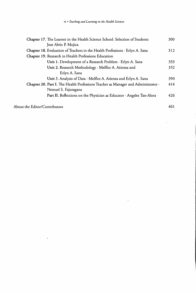| Chapter 17. The Learner in the Health Science School: Selection of Students       | 300 |
|-----------------------------------------------------------------------------------|-----|
| Jose Alvin P. Mojica                                                              |     |
| Chapter 18. Evaluation of Teachers in the Health Professions · Erlyn A. Sana      | 312 |
| Chapter 19. Research in Health Professions Education                              |     |
| Unit 1. Development of a Research Problem · Erlyn A. Sana                         | 333 |
| Unit 2. Research Methodology · Melflor A. Atienza and                             | 352 |
| Erlyn A. Sana                                                                     |     |
| Unit 3. Analysis of Data · Melflor A. Atienza and Erlyn A. Sana                   | 390 |
| Chapter 20. Part I. The Health Professions Teacher as Manager and Administrator . | 414 |
| Nemuel S. Fajutagana                                                              |     |
| Part II. Reflections on the Physician as Educator · Angeles Tan-Alora             | 426 |
| About the Editor/Contributors                                                     | 461 |

 $\overline{a}$ 

 $\ddot{\phantom{0}}$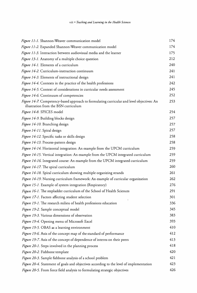| Figure 11-1. Shannon-Weaver communication model                                                                                   | 174 |
|-----------------------------------------------------------------------------------------------------------------------------------|-----|
| Figure 11-2. Expanded Shannon-Weaver communication model                                                                          | 174 |
| Figure 11-3. Interaction between audiovisual media and the learner                                                                | 175 |
| Figure 13-1. Anatomy of a multiple choice question                                                                                | 212 |
| Figure 14-1. Elements of a curriculum                                                                                             | 240 |
| Figure 14-2. Curriculum-instruction continuum                                                                                     | 241 |
| Figure 14-3. Elements of instructional design                                                                                     | 241 |
| Figure 14-4. Contexts in the practice of the health professions                                                                   | 242 |
| Figure 14-5. Context of considerations in curricular needs assessment                                                             | 245 |
| Figure 14-6. Continuum of competencies                                                                                            | 252 |
| Figure 14-7. Competency-based approach to formulating curricular and level objectives: An<br>illustration from the BSN curriculum | 253 |
| Figure 14-8. SPICES model                                                                                                         | 254 |
| Figure 14-9. Building blocks design                                                                                               | 257 |
| Figure 14-10. Branching design                                                                                                    | 257 |
| Figure 14-11. Spiral design                                                                                                       | 257 |
| Figure 14-12. Specific tasks or skills design                                                                                     | 258 |
| Figure 14-13. Process-pattern design                                                                                              | 258 |
| Figure 14-14. Horizontal integration: An example from the UPCM curriculum                                                         | 259 |
| Figure 14-15. Vertical integration: An example from the UPCM integrated curriculum                                                | 259 |
| Figure 14-16. Integrated course: An example from the UPCM integrated curriculum                                                   | 259 |
| Figure 14-17. The spiral curriculum                                                                                               | 260 |
| Figure 14-18. Spiral curriculum showing multiple organizing strands                                                               | 261 |
| Figure 14-19. Nursing curriculum framework: An example of curricular organization                                                 | 262 |
| Figure 15-1. Example of system integration (Respiratory)                                                                          | 276 |
| Figure 16-1. The stepladder curriculum of the School of Health Sciences                                                           | 291 |
| Figure 17-1. Factors affecting student selection                                                                                  | 301 |
| Figure 19-1. The research milieu of health professions education                                                                  | 336 |
| Figure 19-2. Sample conceptual model                                                                                              | 345 |
| Figure 19-3. Various dimensions of observation                                                                                    | 383 |
| Figure 19-4. Opening menu of Microsoft Excel                                                                                      | 393 |
| Figure 19-5. OBAS as a learning environment                                                                                       | 410 |
| Figure 19-6. Axis of the concept map of the standard of performance                                                               | 412 |
| Figure 19-7. Axis of the concept of dependence of interns on their peers                                                          | 413 |
| Figure 20-1. Steps involved in the planning process                                                                               | 418 |
| Figure 20-2. Fishbone template                                                                                                    | 420 |
| Figure 20-3. Sample fishbone analysis of a school problem                                                                         | 421 |
| Figure 20-4. Statement of goals and objectives according to the level of implementation                                           | 423 |
| Figure 20-5. From force field analysis to formulating strategic objectives                                                        | 426 |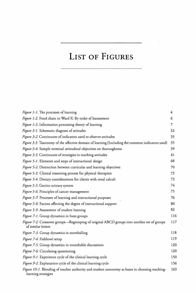#### LIST OF FIGURES

| <i>Figure 1-1</i> . The processes of learning                                                                         | 4   |
|-----------------------------------------------------------------------------------------------------------------------|-----|
| Figure 1-2. Food chain in Ward X: By order of harassment                                                              | 6   |
| Figure 1-3. Information processing theory of learning                                                                 | 7   |
| Figure 3-1. Schematic diagram of attitudes                                                                            | 32  |
| Figure 3-2. Continuum of indicators used to observe attitudes                                                         | 33  |
| Figure 3-3. Taxonomy of the affective domain of learning (Including the common indicators used)                       | 35  |
| Figure 3-4. Sample terminal attitudinal objectives on thoroughness                                                    | 39  |
| Figure 3-5. Continuum of strategies in teaching attitudes                                                             | 41  |
| Figure 5-1. Elements and steps of instructional design                                                                | 68  |
| Figure 5-2. Distinction between curricular and learning objectives                                                    | 70  |
| Figure 5-3. Clinical reasoning process for physical therapists                                                        | 73  |
| Figure 5-4. Dietary considerations for clients with renal calculi                                                     | 73  |
| Figure 5-5. Genito-urinary system                                                                                     | 74  |
| Figure 5-6. Principles of cancer management                                                                           | 75  |
| Figure 5-7. Processes of learning and instructional purposes                                                          | 76  |
| Figure 5-8. Factors affecting the degree of instructional support                                                     | 80  |
| Figure 5-9. Assessment of student learning                                                                            | 82  |
| Figure 7-1. Group dynamics in buzz groups                                                                             | 116 |
| Figure 7-2. Crossover groups—Regrouping of original ABCD groups into another set of groups<br>of similar letters      | 117 |
| Figure 7-3. Group dynamics in snowballing                                                                             | 118 |
| Figure 7-4. Fishbowl setup                                                                                            | 119 |
| Figure 7-5. Group dynamics in roundtable discussions                                                                  | 120 |
| Figure 7-6. Circulating questioning                                                                                   | 120 |
| Figure 9-1. Experience cycle of the clinical learning cycle                                                           | 150 |
| Figure 9-2. Explanation cycle of the clinical learning cycle                                                          | 156 |
| Figure 10-1. Blending of teacher authority and student autonomy as bases in choosing teaching-<br>learning strategies | 163 |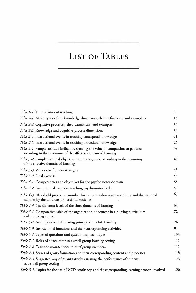### LIST OF TABLES

| <i>Table 1-1</i> . The activities of teaching                                                                                                      | 8   |
|----------------------------------------------------------------------------------------------------------------------------------------------------|-----|
| Table 2-1. Major types of the knowledge dimension, their definitions, and examples -                                                               | 15  |
| Table 2-2. Cognitive processes, their definitions, and examples                                                                                    | 15  |
| Table 2-3. Knowledge and cognitive process dimensions                                                                                              | 16  |
| Table 2-4. Instructional events in teaching conceptual knowledge                                                                                   | 21  |
| Table 2-5. Instructional events in teaching procedural knowledge                                                                                   | 26  |
| Table 3-1. Sample attitude indicators showing the value of compassion to patients<br>according to the taxonomy of the affective domain of learning | 38  |
| Table 3-2. Sample terminal objectives on thoroughness according to the taxonomy<br>of the affective domain of learning                             | 40  |
| Table 3-3. Values clarification strategies                                                                                                         | 43  |
| Table 3-4. Final exercise                                                                                                                          | 44  |
| Table 4-1. Competencies and objectives for the psychomotor domain                                                                                  | 55  |
| Table 4-2. Instructional events in teaching psychomotor skills                                                                                     | 59  |
| Table 4-3. Threshold procedure number for various endoscopic procedures and the required<br>number by the different professional societies         | 63  |
| Table 4-4. The different levels of the three domains of learning                                                                                   | 64  |
| Table 5-1. Comparative table of the organization of content in a nursing curriculum<br>and a nursing course                                        | 72  |
| Table 5-2. Assumptions and learning principles in adult learning                                                                                   | 76  |
| Table 5-3. Instructional functions and their corresponding activities                                                                              | 81  |
| Table 6-1. Types of questions and questioning techniques                                                                                           | 104 |
| Table 7-1. Roles of a facilitator in a small group learning setting                                                                                | 111 |
| Table 7-2. Task and maintenance roles of group members                                                                                             | 111 |
| Table 7-3. Stages of group formation and their corresponding content and processes                                                                 | 113 |
| Table 7-4. Suggested way of quantitatively assessing the performance of students<br>in a small group setting                                       | 123 |
| Table 8-1. Topics for the basic DOTS workshop and the corresponding learning process involved                                                      | 136 |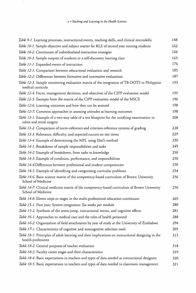| Table 9-1. Learning processes, instructional events, teaching skills, and clinical microskills                           | 148 |
|--------------------------------------------------------------------------------------------------------------------------|-----|
| Table 10-1. Sample objective and subject matter for RLE of second year nursing students                                  | 162 |
| Table 10-2. Continuum of individualized instruction strategies                                                           | 164 |
| Table 10-3. Sample outputs of students in a self-discovery learning class                                                | 165 |
| Table 11-1. Expanded events of instruction                                                                               | 176 |
| Table 12-1. Comparison between educational evaluation and research                                                       | 185 |
| Table 12-2. Differences between formative and summative evaluations                                                      | 187 |
| Table 12-3. Sample monitoring evaluation matrix of the integration of TB-DOTS in Philippine<br>medical curricula         | 193 |
| Table 12-4. Focus, management decisions, and objectives of the CIPP evaluation model                                     | 195 |
| Table 12-5. Excerpts from the matrix of the CIPP evaluation model of the MSCE                                            | 196 |
| Table 12-6. Learning outcomes and how they can be assessed                                                               | 198 |
| Table 12-7. Common approaches in assessing attitudes as learning outcomes                                                | 198 |
| Table 13-1. Example of a two-way table of a test blueprint for the certifying examination in<br>colon and rectal surgery | 208 |
| Table 13-2. Comparison of norm-reference and criterion-reference systems of grading                                      | 228 |
| Table 13-3. Relevance, difficulty, and expected success on test items                                                    | 229 |
| Table 13-4. Example of determining the MPL using Ebel's method                                                           | 230 |
| Table 14-1. Breakdown of sample responsibilities and tasks                                                               | 249 |
| Table 14-2. Example of breakdown, from tasks to knowledge                                                                | 250 |
| Table 14-3. Example of condition, performance, and responsibilities                                                      | 250 |
| Table 14-4.Differences between professional and student competencies                                                     | 250 |
| Table 14-5. Example of identifying and categorizing curricular problems                                                  | 254 |
| Table 14-6. Basic science matrix of the competency-based curriculum of Brown University<br>School of Medicine            | 256 |
| Table 14-7. Clinical medicine matrix of the competency-based curriculum of Brown University<br>School of Medicine        | 256 |
| Table 14-8. Eleven steps or stages in the multi-professional education continuum                                         | 269 |
| Table 15-1. First year: System integration: Six weeks per module                                                         | 280 |
| Table 15-2. Synthesis of the seven-jump, instructional events, and cognitive effects                                     | 281 |
| Table 16-1. Approaches to medical care and the roles of health personnel                                                 | 288 |
| Table 16-2. Organization of field attachments by year of study at the University of Zimbabwe                             | 294 |
| Table 17-1. Characteristics of cognitive and noncognitive selection tools                                                | 305 |
| Table 18-1. Principles of adult learning and their implications on instructional designing in the<br>health professions  | 315 |
| Table 18-2. General purposes of teacher evaluation                                                                       | 318 |
| Table 18-3. Faculty career stages and their characteristics                                                              | 319 |
| Table 18-4. Basic expectations in teachers and types of data needed as instructional designers                           | 320 |
| Table 18-5. Basic expectations in teachers and types of data needed in classroom management                              | 321 |